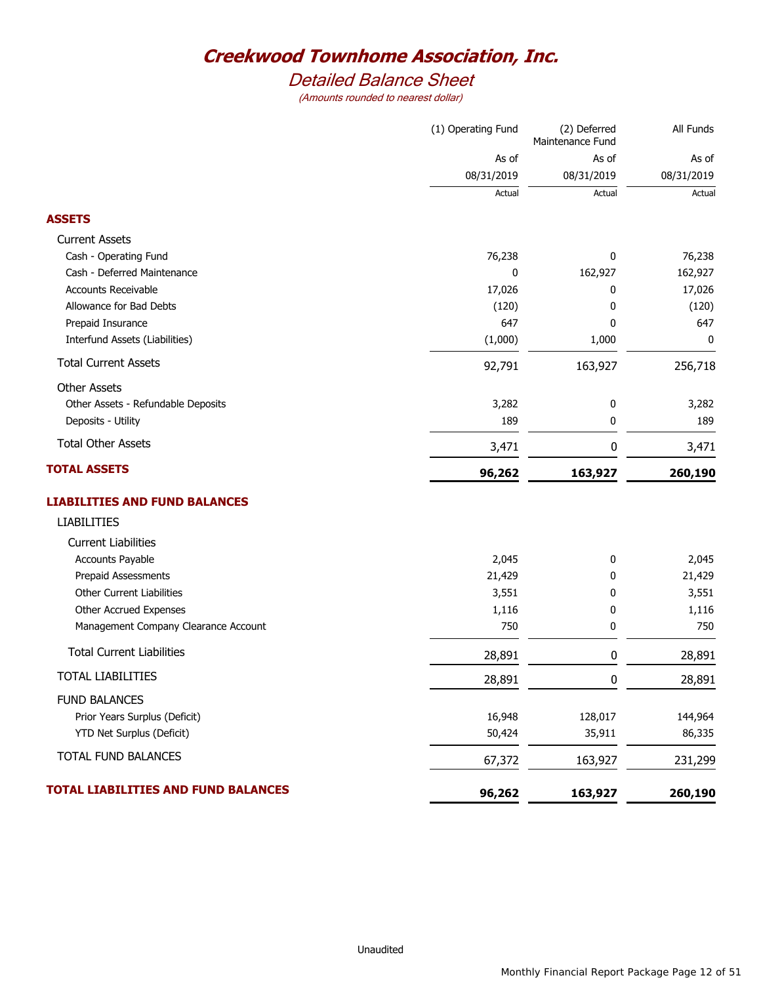# *Detailed Balance Sheet*

|                                      | (1) Operating Fund | (2) Deferred<br>Maintenance Fund | All Funds  |
|--------------------------------------|--------------------|----------------------------------|------------|
|                                      | As of              | As of                            | As of      |
|                                      | 08/31/2019         | 08/31/2019                       | 08/31/2019 |
|                                      | Actual             | Actual                           | Actual     |
| <b>ASSETS</b>                        |                    |                                  |            |
| <b>Current Assets</b>                |                    |                                  |            |
| Cash - Operating Fund                | 76,238             | 0                                | 76,238     |
| Cash - Deferred Maintenance          | 0                  | 162,927                          | 162,927    |
| Accounts Receivable                  | 17,026             | 0                                | 17,026     |
| Allowance for Bad Debts              | (120)              | 0                                | (120)      |
| Prepaid Insurance                    | 647                | 0                                | 647        |
| Interfund Assets (Liabilities)       | (1,000)            | 1,000                            | 0          |
| <b>Total Current Assets</b>          | 92,791             | 163,927                          | 256,718    |
| <b>Other Assets</b>                  |                    |                                  |            |
| Other Assets - Refundable Deposits   | 3,282              | 0                                | 3,282      |
| Deposits - Utility                   | 189                | 0                                | 189        |
| <b>Total Other Assets</b>            | 3,471              | 0                                | 3,471      |
| <b>TOTAL ASSETS</b>                  | 96,262             | 163,927                          | 260,190    |
| <b>LIABILITIES AND FUND BALANCES</b> |                    |                                  |            |
| <b>LIABILITIES</b>                   |                    |                                  |            |
| <b>Current Liabilities</b>           |                    |                                  |            |
| Accounts Payable                     | 2,045              | 0                                | 2,045      |
| Prepaid Assessments                  | 21,429             | 0                                | 21,429     |
| Other Current Liabilities            | 3,551              | 0                                | 3,551      |
| Other Accrued Expenses               | 1,116              | 0                                | 1,116      |
| Management Company Clearance Account | 750                | 0                                | 750        |
| <b>Total Current Liabilities</b>     | 28,891             | 0                                | 28,891     |
| <b>TOTAL LIABILITIES</b>             | 28,891             | 0                                | 28,891     |
| <b>FUND BALANCES</b>                 |                    |                                  |            |
| Prior Years Surplus (Deficit)        | 16,948             | 128,017                          | 144,964    |
| YTD Net Surplus (Deficit)            | 50,424             | 35,911                           | 86,335     |
| TOTAL FUND BALANCES                  | 67,372             | 163,927                          | 231,299    |
| TOTAL LIABILITIES AND FUND BALANCES  |                    |                                  |            |
|                                      | 96,262             | 163,927                          | 260,190    |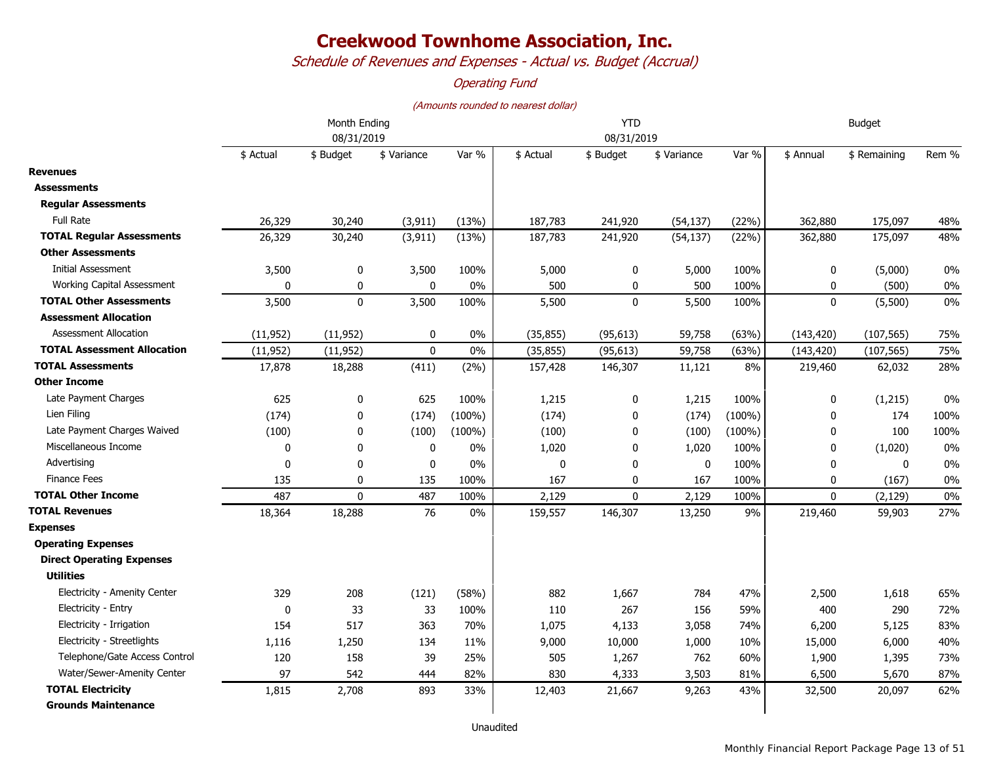*Schedule of Revenues and Expenses - Actual vs. Budget (Accrual)*

### *Operating Fund*

|                                    | Month Ending<br>08/31/2019 |              |              |           |           | <b>YTD</b><br>08/31/2019 | <b>Budget</b> |           |              |              |       |
|------------------------------------|----------------------------|--------------|--------------|-----------|-----------|--------------------------|---------------|-----------|--------------|--------------|-------|
|                                    | \$ Actual                  | \$ Budget    | \$ Variance  | Var %     | \$ Actual | \$ Budget                | \$ Variance   | Var %     | \$ Annual    | \$ Remaining | Rem % |
| <b>Revenues</b>                    |                            |              |              |           |           |                          |               |           |              |              |       |
| <b>Assessments</b>                 |                            |              |              |           |           |                          |               |           |              |              |       |
| <b>Regular Assessments</b>         |                            |              |              |           |           |                          |               |           |              |              |       |
| <b>Full Rate</b>                   | 26,329                     | 30,240       | (3, 911)     | (13%)     | 187,783   | 241,920                  | (54, 137)     | (22%)     | 362,880      | 175,097      | 48%   |
| <b>TOTAL Requiar Assessments</b>   | 26,329                     | 30,240       | (3, 911)     | (13%)     | 187,783   | 241,920                  | (54, 137)     | (22%)     | 362,880      | 175,097      | 48%   |
| <b>Other Assessments</b>           |                            |              |              |           |           |                          |               |           |              |              |       |
| <b>Initial Assessment</b>          | 3,500                      | $\pmb{0}$    | 3,500        | 100%      | 5,000     | 0                        | 5,000         | 100%      | 0            | (5,000)      | 0%    |
| Working Capital Assessment         | $\Omega$                   | 0            | $\mathbf{0}$ | 0%        | 500       | 0                        | 500           | 100%      | 0            | (500)        | 0%    |
| <b>TOTAL Other Assessments</b>     | 3,500                      | $\mathbf 0$  | 3,500        | 100%      | 5,500     | $\mathbf 0$              | 5,500         | 100%      | $\mathbf 0$  | (5,500)      | 0%    |
| <b>Assessment Allocation</b>       |                            |              |              |           |           |                          |               |           |              |              |       |
| <b>Assessment Allocation</b>       | (11, 952)                  | (11, 952)    | $\mathbf 0$  | $0\%$     | (35, 855) | (95, 613)                | 59,758        | (63%)     | (143, 420)   | (107, 565)   | 75%   |
| <b>TOTAL Assessment Allocation</b> | (11, 952)                  | (11, 952)    | $\mathbf 0$  | 0%        | (35, 855) | (95, 613)                | 59,758        | (63%)     | (143, 420)   | (107, 565)   | 75%   |
| <b>TOTAL Assessments</b>           | 17,878                     | 18,288       | (411)        | (2%)      | 157,428   | 146,307                  | 11,121        | 8%        | 219,460      | 62,032       | 28%   |
| <b>Other Income</b>                |                            |              |              |           |           |                          |               |           |              |              |       |
| Late Payment Charges               | 625                        | 0            | 625          | 100%      | 1,215     | 0                        | 1,215         | 100%      | 0            | (1,215)      | 0%    |
| Lien Filing                        | (174)                      | 0            | (174)        | $(100\%)$ | (174)     | 0                        | (174)         | $(100\%)$ | 0            | 174          | 100%  |
| Late Payment Charges Waived        | (100)                      | 0            | (100)        | $(100\%)$ | (100)     | $\mathbf{0}$             | (100)         | $(100\%)$ | 0            | 100          | 100%  |
| Miscellaneous Income               | 0                          | 0            | $\mathbf 0$  | 0%        | 1,020     | 0                        | 1,020         | 100%      | 0            | (1,020)      | 0%    |
| Advertising                        | $\mathbf{0}$               | $\mathbf{0}$ | $\mathbf 0$  | 0%        | 0         | $\mathbf{0}$             | $\mathbf{0}$  | 100%      | $\mathbf{0}$ | $\mathbf{0}$ | 0%    |
| <b>Finance Fees</b>                | 135                        | 0            | 135          | 100%      | 167       | 0                        | 167           | 100%      | $\mathbf 0$  | (167)        | $0\%$ |
| <b>TOTAL Other Income</b>          | 487                        | $\mathbf{0}$ | 487          | 100%      | 2,129     | $\Omega$                 | 2,129         | 100%      | $\mathbf{0}$ | (2, 129)     | $0\%$ |
| <b>TOTAL Revenues</b>              | 18,364                     | 18,288       | 76           | $0\%$     | 159,557   | 146,307                  | 13,250        | 9%        | 219,460      | 59,903       | 27%   |
| <b>Expenses</b>                    |                            |              |              |           |           |                          |               |           |              |              |       |
| <b>Operating Expenses</b>          |                            |              |              |           |           |                          |               |           |              |              |       |
| <b>Direct Operating Expenses</b>   |                            |              |              |           |           |                          |               |           |              |              |       |
| <b>Utilities</b>                   |                            |              |              |           |           |                          |               |           |              |              |       |
| Electricity - Amenity Center       | 329                        | 208          | (121)        | (58%)     | 882       | 1,667                    | 784           | 47%       | 2,500        | 1,618        | 65%   |
| Electricity - Entry                | 0                          | 33           | 33           | 100%      | 110       | 267                      | 156           | 59%       | 400          | 290          | 72%   |
| Electricity - Irrigation           | 154                        | 517          | 363          | 70%       | 1,075     | 4,133                    | 3,058         | 74%       | 6,200        | 5,125        | 83%   |
| Electricity - Streetlights         | 1,116                      | 1,250        | 134          | 11%       | 9,000     | 10,000                   | 1,000         | 10%       | 15,000       | 6,000        | 40%   |
| Telephone/Gate Access Control      | 120                        | 158          | 39           | 25%       | 505       | 1,267                    | 762           | 60%       | 1,900        | 1,395        | 73%   |
| Water/Sewer-Amenity Center         | 97                         | 542          | 444          | 82%       | 830       | 4,333                    | 3,503         | 81%       | 6,500        | 5,670        | 87%   |
| <b>TOTAL Electricity</b>           | 1,815                      | 2,708        | 893          | 33%       | 12,403    | 21,667                   | 9,263         | 43%       | 32,500       | 20,097       | 62%   |
| <b>Grounds Maintenance</b>         |                            |              |              |           |           |                          |               |           |              |              |       |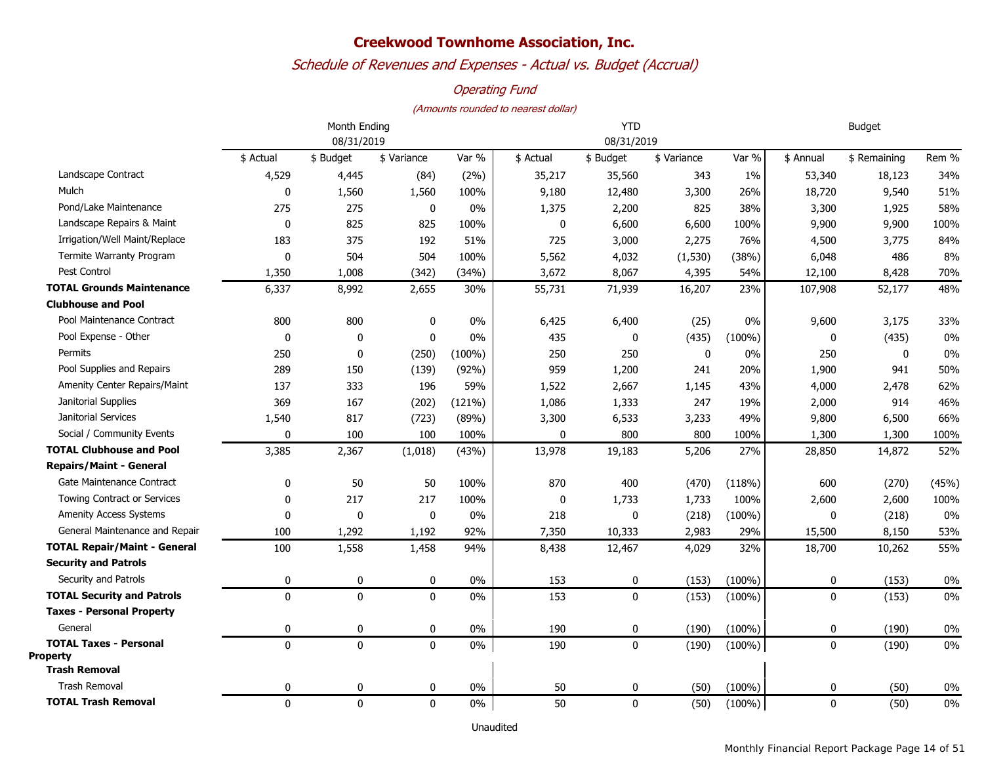## *Schedule of Revenues and Expenses - Actual vs. Budget (Accrual)*

### *Operating Fund*

#### *(Amounts rounded to nearest dollar)*

|                                                  |             | <b>YTD</b>   |             |           |           | <b>Budget</b> |             |           |             |              |       |
|--------------------------------------------------|-------------|--------------|-------------|-----------|-----------|---------------|-------------|-----------|-------------|--------------|-------|
|                                                  | 08/31/2019  |              |             |           |           | 08/31/2019    |             |           |             |              |       |
|                                                  | \$ Actual   | \$ Budget    | \$ Variance | Var %     | \$ Actual | \$ Budget     | \$ Variance | Var %     | \$ Annual   | \$ Remaining | Rem % |
| Landscape Contract                               | 4,529       | 4,445        | (84)        | (2%)      | 35,217    | 35,560        | 343         | 1%        | 53,340      | 18,123       | 34%   |
| Mulch                                            | 0           | 1,560        | 1,560       | 100%      | 9,180     | 12,480        | 3,300       | 26%       | 18,720      | 9,540        | 51%   |
| Pond/Lake Maintenance                            | 275         | 275          | 0           | 0%        | 1,375     | 2,200         | 825         | 38%       | 3,300       | 1,925        | 58%   |
| Landscape Repairs & Maint                        | $\mathbf 0$ | 825          | 825         | 100%      | 0         | 6,600         | 6,600       | 100%      | 9,900       | 9,900        | 100%  |
| Irrigation/Well Maint/Replace                    | 183         | 375          | 192         | 51%       | 725       | 3,000         | 2,275       | 76%       | 4,500       | 3,775        | 84%   |
| Termite Warranty Program                         | $\mathbf 0$ | 504          | 504         | 100%      | 5,562     | 4,032         | (1, 530)    | (38%)     | 6,048       | 486          | 8%    |
| Pest Control                                     | 1,350       | 1,008        | (342)       | (34%)     | 3,672     | 8,067         | 4,395       | 54%       | 12,100      | 8,428        | 70%   |
| <b>TOTAL Grounds Maintenance</b>                 | 6,337       | 8,992        | 2,655       | 30%       | 55,731    | 71,939        | 16,207      | 23%       | 107,908     | 52,177       | 48%   |
| <b>Clubhouse and Pool</b>                        |             |              |             |           |           |               |             |           |             |              |       |
| Pool Maintenance Contract                        | 800         | 800          | 0           | $0\%$     | 6,425     | 6,400         | (25)        | 0%        | 9,600       | 3,175        | 33%   |
| Pool Expense - Other                             | $\mathbf 0$ | 0            | 0           | 0%        | 435       | $\mathbf{0}$  | (435)       | $(100\%)$ | 0           | (435)        | 0%    |
| Permits                                          | 250         | 0            | (250)       | $(100\%)$ | 250       | 250           | 0           | 0%        | 250         | 0            | 0%    |
| Pool Supplies and Repairs                        | 289         | 150          | (139)       | (92%)     | 959       | 1,200         | 241         | 20%       | 1,900       | 941          | 50%   |
| <b>Amenity Center Repairs/Maint</b>              | 137         | 333          | 196         | 59%       | 1,522     | 2,667         | 1,145       | 43%       | 4,000       | 2,478        | 62%   |
| Janitorial Supplies                              | 369         | 167          | (202)       | (121%)    | 1,086     | 1,333         | 247         | 19%       | 2,000       | 914          | 46%   |
| Janitorial Services                              | 1,540       | 817          | (723)       | (89%)     | 3,300     | 6,533         | 3,233       | 49%       | 9,800       | 6,500        | 66%   |
| Social / Community Events                        | 0           | 100          | 100         | 100%      | 0         | 800           | 800         | 100%      | 1,300       | 1,300        | 100%  |
| <b>TOTAL Clubhouse and Pool</b>                  | 3,385       | 2,367        | (1,018)     | (43%)     | 13,978    | 19,183        | 5,206       | 27%       | 28,850      | 14,872       | 52%   |
| <b>Repairs/Maint - General</b>                   |             |              |             |           |           |               |             |           |             |              |       |
| Gate Maintenance Contract                        | 0           | 50           | 50          | 100%      | 870       | 400           | (470)       | (118%)    | 600         | (270)        | (45%) |
| <b>Towing Contract or Services</b>               | 0           | 217          | 217         | 100%      | 0         | 1,733         | 1,733       | 100%      | 2,600       | 2,600        | 100%  |
| <b>Amenity Access Systems</b>                    | 0           | 0            | $\pmb{0}$   | 0%        | 218       | 0             | (218)       | $(100\%)$ | 0           | (218)        | 0%    |
| General Maintenance and Repair                   | 100         | 1,292        | 1,192       | 92%       | 7,350     | 10,333        | 2,983       | 29%       | 15,500      | 8,150        | 53%   |
| <b>TOTAL Repair/Maint - General</b>              | 100         | 1,558        | 1,458       | 94%       | 8,438     | 12,467        | 4,029       | 32%       | 18,700      | 10,262       | 55%   |
| <b>Security and Patrols</b>                      |             |              |             |           |           |               |             |           |             |              |       |
| Security and Patrols                             | 0           | 0            | 0           | $0\%$     | 153       | 0             | (153)       | $(100\%)$ | 0           | (153)        | 0%    |
| <b>TOTAL Security and Patrols</b>                | $\mathbf 0$ | $\mathbf 0$  | $\mathbf 0$ | $0\%$     | 153       | 0             | (153)       | $(100\%)$ | 0           | (153)        | 0%    |
| <b>Taxes - Personal Property</b>                 |             |              |             |           |           |               |             |           |             |              |       |
| General                                          | 0           | 0            | 0           | $0\%$     | 190       | 0             | (190)       | $(100\%)$ | 0           | (190)        | 0%    |
| <b>TOTAL Taxes - Personal</b><br><b>Property</b> | $\mathbf 0$ | $\mathbf{0}$ | $\mathbf 0$ | 0%        | 190       | $\mathbf 0$   | (190)       | $(100\%)$ | $\mathbf 0$ | (190)        | 0%    |
| <b>Trash Removal</b>                             |             |              |             |           |           |               |             |           |             |              |       |
| <b>Trash Removal</b>                             | 0           | 0            | 0           | 0%        | 50        | 0             | (50)        | $(100\%)$ | $\mathbf 0$ | (50)         | 0%    |
| <b>TOTAL Trash Removal</b>                       | $\mathbf 0$ | $\mathbf 0$  | $\mathbf 0$ | $0\%$     | 50        | 0             | (50)        | $(100\%)$ | $\mathbf 0$ | (50)         | 0%    |

Unaudited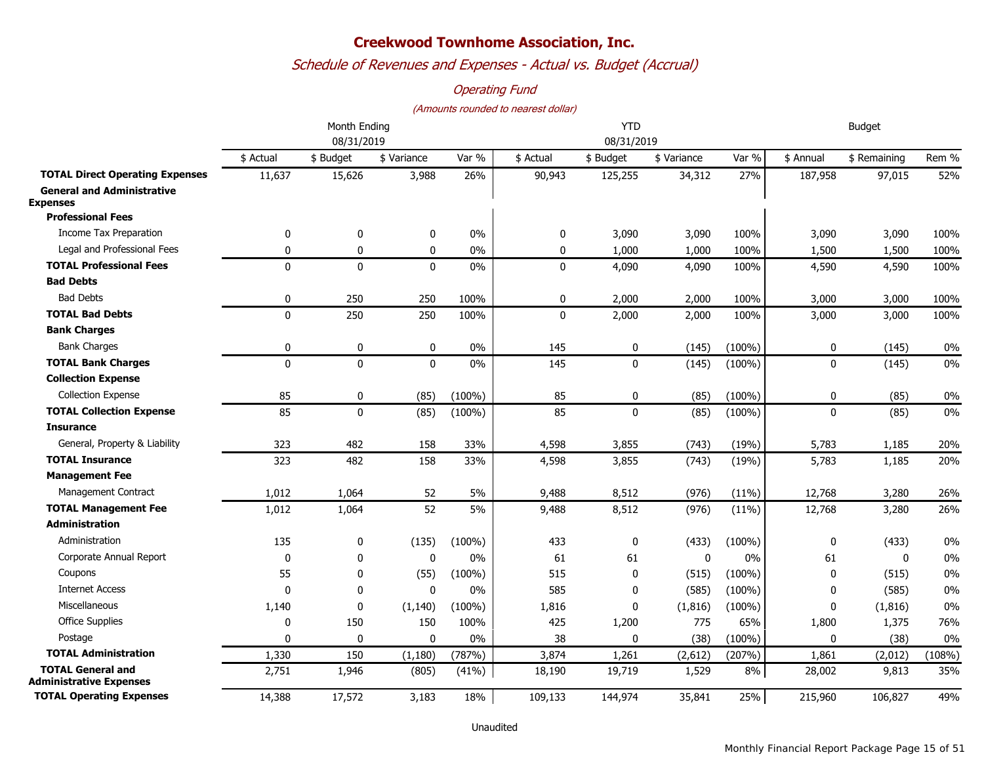*Schedule of Revenues and Expenses - Actual vs. Budget (Accrual)*

### *Operating Fund*

|                                                      |              | Month Ending |              | <b>YTD</b> |           |             |             | <b>Budget</b> |             |              |        |  |
|------------------------------------------------------|--------------|--------------|--------------|------------|-----------|-------------|-------------|---------------|-------------|--------------|--------|--|
|                                                      | 08/31/2019   |              |              |            |           | 08/31/2019  |             |               |             |              |        |  |
|                                                      | \$ Actual    | \$ Budget    | \$ Variance  | Var %      | \$ Actual | \$ Budget   | \$ Variance | Var %         | \$ Annual   | \$ Remaining | Rem %  |  |
| <b>TOTAL Direct Operating Expenses</b>               | 11,637       | 15,626       | 3,988        | 26%        | 90,943    | 125,255     | 34,312      | 27%           | 187,958     | 97,015       | 52%    |  |
| <b>General and Administrative</b><br><b>Expenses</b> |              |              |              |            |           |             |             |               |             |              |        |  |
| <b>Professional Fees</b>                             |              |              |              |            |           |             |             |               |             |              |        |  |
| <b>Income Tax Preparation</b>                        | 0            | 0            | 0            | 0%         | 0         | 3,090       | 3,090       | 100%          | 3,090       | 3,090        | 100%   |  |
| Legal and Professional Fees                          | $\mathbf{0}$ | 0            | $\pmb{0}$    | 0%         | 0         | 1,000       | 1,000       | 100%          | 1,500       | 1,500        | 100%   |  |
| <b>TOTAL Professional Fees</b>                       | $\mathbf{0}$ | $\mathbf{0}$ | $\mathbf{0}$ | 0%         | $\Omega$  | 4,090       | 4,090       | 100%          | 4,590       | 4,590        | 100%   |  |
| <b>Bad Debts</b>                                     |              |              |              |            |           |             |             |               |             |              |        |  |
| <b>Bad Debts</b>                                     | 0            | 250          | 250          | 100%       | 0         | 2,000       | 2,000       | 100%          | 3,000       | 3,000        | 100%   |  |
| <b>TOTAL Bad Debts</b>                               | $\mathbf{0}$ | 250          | 250          | 100%       | $\Omega$  | 2,000       | 2,000       | 100%          | 3,000       | 3,000        | 100%   |  |
| <b>Bank Charges</b>                                  |              |              |              |            |           |             |             |               |             |              |        |  |
| <b>Bank Charges</b>                                  | 0            | 0            | $\pmb{0}$    | 0%         | 145       | 0           | (145)       | $(100\%)$     | $\pmb{0}$   | (145)        | $0\%$  |  |
| <b>TOTAL Bank Charges</b>                            | $\mathbf{0}$ | $\pmb{0}$    | $\mathbf{0}$ | 0%         | 145       | $\pmb{0}$   | (145)       | $(100\%)$     | $\mathbf 0$ | (145)        | 0%     |  |
| <b>Collection Expense</b>                            |              |              |              |            |           |             |             |               |             |              |        |  |
| <b>Collection Expense</b>                            | 85           | 0            | (85)         | $(100\%)$  | 85        | 0           | (85)        | $(100\%)$     | $\mathbf 0$ | (85)         | 0%     |  |
| <b>TOTAL Collection Expense</b>                      | 85           | $\pmb{0}$    | (85)         | $(100\%)$  | 85        | $\pmb{0}$   | (85)        | $(100\%)$     | $\mathbf 0$ | (85)         | 0%     |  |
| <b>Insurance</b>                                     |              |              |              |            |           |             |             |               |             |              |        |  |
| General, Property & Liability                        | 323          | 482          | 158          | 33%        | 4,598     | 3,855       | (743)       | (19%)         | 5,783       | 1,185        | 20%    |  |
| <b>TOTAL Insurance</b>                               | 323          | 482          | 158          | 33%        | 4,598     | 3,855       | (743)       | (19%)         | 5,783       | 1,185        | 20%    |  |
| <b>Management Fee</b>                                |              |              |              |            |           |             |             |               |             |              |        |  |
| Management Contract                                  | 1,012        | 1,064        | 52           | 5%         | 9,488     | 8,512       | (976)       | (11%)         | 12,768      | 3,280        | 26%    |  |
| <b>TOTAL Management Fee</b>                          | 1,012        | 1,064        | 52           | 5%         | 9,488     | 8,512       | (976)       | (11%)         | 12,768      | 3,280        | 26%    |  |
| <b>Administration</b>                                |              |              |              |            |           |             |             |               |             |              |        |  |
| Administration                                       | 135          | 0            | (135)        | $(100\%)$  | 433       | 0           | (433)       | $(100\%)$     | 0           | (433)        | 0%     |  |
| Corporate Annual Report                              | 0            | $\mathbf 0$  | $\mathbf 0$  | 0%         | 61        | 61          | $\mathbf 0$ | 0%            | 61          | $\mathbf 0$  | 0%     |  |
| Coupons                                              | 55           | $\mathbf 0$  | (55)         | $(100\%)$  | 515       | 0           | (515)       | $(100\%)$     | 0           | (515)        | 0%     |  |
| <b>Internet Access</b>                               | $\mathbf{0}$ | $\mathbf 0$  | $\mathbf 0$  | 0%         | 585       | 0           | (585)       | $(100\%)$     | 0           | (585)        | 0%     |  |
| Miscellaneous                                        | 1,140        | 0            | (1, 140)     | $(100\%)$  | 1,816     | 0           | (1, 816)    | $(100\%)$     | 0           | (1, 816)     | 0%     |  |
| <b>Office Supplies</b>                               | 0            | 150          | 150          | 100%       | 425       | 1,200       | 775         | 65%           | 1,800       | 1,375        | 76%    |  |
| Postage                                              | 0            | $\mathbf 0$  | $\mathbf 0$  | 0%         | 38        | $\mathbf 0$ | (38)        | $(100\%)$     | $\mathbf 0$ | (38)         | $0\%$  |  |
| <b>TOTAL Administration</b>                          | 1,330        | 150          | (1, 180)     | (787%)     | 3,874     | 1,261       | (2,612)     | (207%)        | 1,861       | (2,012)      | (108%) |  |
| <b>TOTAL General and</b><br>Administrative Expenses  | 2,751        | 1,946        | (805)        | (41%)      | 18,190    | 19,719      | 1,529       | 8%            | 28,002      | 9,813        | 35%    |  |
| <b>TOTAL Operating Expenses</b>                      | 14,388       | 17,572       | 3,183        | 18%        | 109,133   | 144,974     | 35,841      | 25%           | 215,960     | 106,827      | 49%    |  |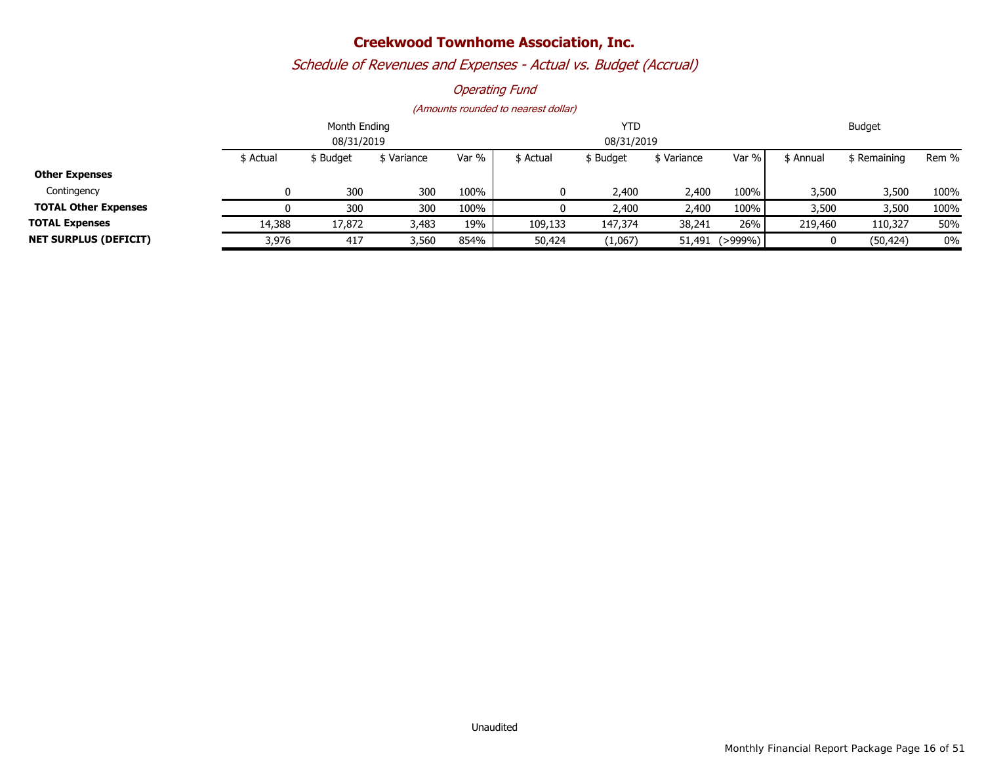# *Schedule of Revenues and Expenses - Actual vs. Budget (Accrual)*

### *Operating Fund*

|                              |           | Month Ending |          |       | <b>YTD</b> |            | Budget      |         |           |                    |       |
|------------------------------|-----------|--------------|----------|-------|------------|------------|-------------|---------|-----------|--------------------|-------|
|                              |           | 08/31/2019   |          |       |            | 08/31/2019 |             |         |           |                    |       |
|                              | \$ Actual | \$ Budget    | Variance | Var % | \$ Actual  | \$ Budget  | \$ Variance | Var %   | \$ Annual | <b>S</b> Remaining | Rem % |
| <b>Other Expenses</b>        |           |              |          |       |            |            |             |         |           |                    |       |
| Contingency                  |           | 300          | 300      | 100%  | 0          | 2,400      | 2,400       | 100%    | 3,500     | 3,500              | 100%  |
| <b>TOTAL Other Expenses</b>  |           | 300          | 300      | 100%  |            | 2,400      | 2,400       | 100%    | 3,500     | 3,500              | 100%  |
| <b>TOTAL Expenses</b>        | 14,388    | 17,872       | 3,483    | 19%   | 109,133    | 147,374    | 38,241      | 26%     | 219,460   | 110,327            | 50%   |
| <b>NET SURPLUS (DEFICIT)</b> | 3,976     | 417          | 3,560    | 854%  | 50,424     | (1,067)    | 51,491      | (>999%) |           | (50, 424)          | 0%    |